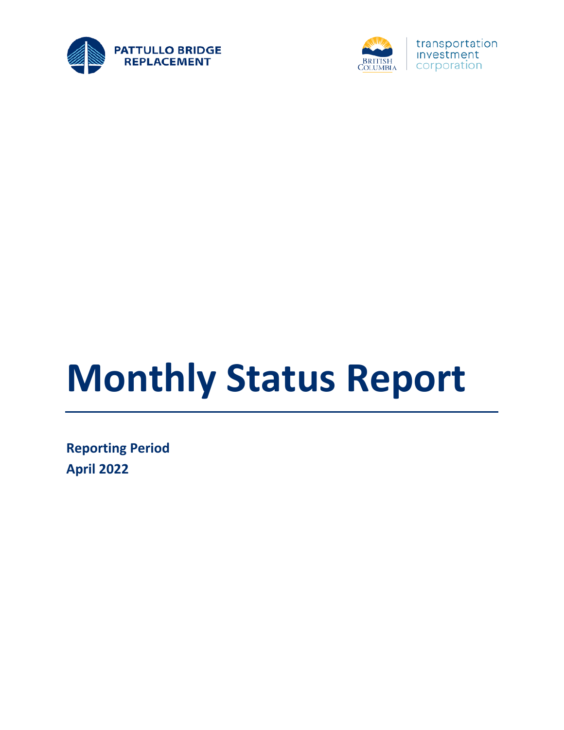



# **Monthly Status Report**

**Reporting Period April 2022**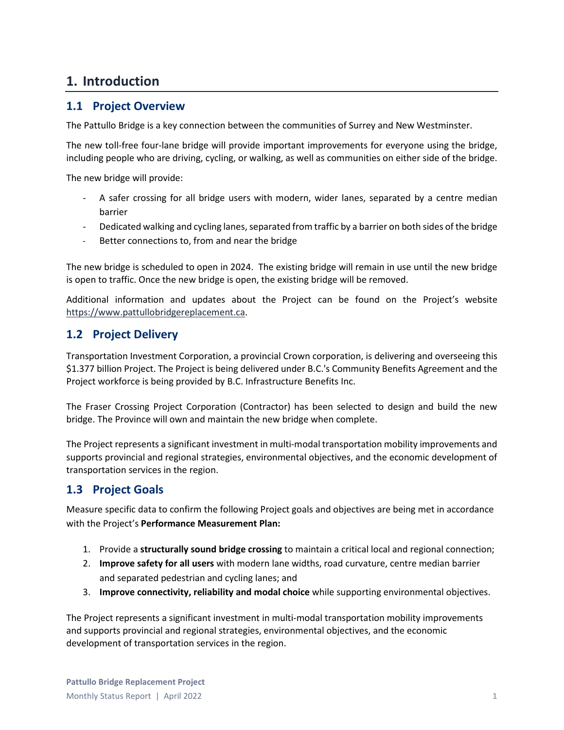#### **1. Introduction**

#### **1.1 Project Overview**

The Pattullo Bridge is a key connection between the communities of Surrey and New Westminster.

The new toll-free four-lane bridge will provide important improvements for everyone using the bridge, including people who are driving, cycling, or walking, as well as communities on either side of the bridge.

The new bridge will provide:

- A safer crossing for all bridge users with modern, wider lanes, separated by a centre median barrier
- Dedicated walking and cycling lanes, separated from traffic by a barrier on both sides of the bridge
- Better connections to, from and near the bridge

The new bridge is scheduled to open in 2024. The existing bridge will remain in use until the new bridge is open to traffic. Once the new bridge is open, the existing bridge will be removed.

Additional information and updates about the Project can be found on the Project's website [https://www.pattullobridgereplacement.ca.](https://www.pattullobridgereplacement.ca/)

#### **1.2 Project Delivery**

Transportation Investment Corporation, a provincial Crown corporation, is delivering and overseeing this \$1.377 billion Project. The Project is being delivered under B.C.'s Community Benefits Agreement and the Project workforce is being provided by B.C. Infrastructure Benefits Inc.

The Fraser Crossing Project Corporation (Contractor) has been selected to design and build the new bridge. The Province will own and maintain the new bridge when complete.

The Project represents a significant investment in multi-modal transportation mobility improvements and supports provincial and regional strategies, environmental objectives, and the economic development of transportation services in the region.

#### **1.3 Project Goals**

Measure specific data to confirm the following Project goals and objectives are being met in accordance with the Project's **Performance Measurement Plan:**

- 1. Provide a **structurally sound bridge crossing** to maintain a critical local and regional connection;
- 2. **Improve safety for all users** with modern lane widths, road curvature, centre median barrier and separated pedestrian and cycling lanes; and
- 3. **Improve connectivity, reliability and modal choice** while supporting environmental objectives.

The Project represents a significant investment in multi-modal transportation mobility improvements and supports provincial and regional strategies, environmental objectives, and the economic development of transportation services in the region.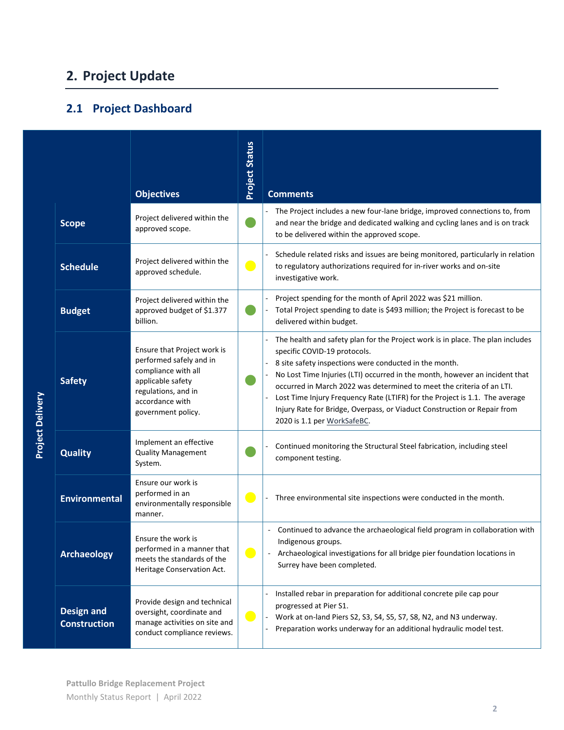# **2. Project Update**

# **2.1 Project Dashboard**

|                         |                                          | <b>Objectives</b>                                                                                                                                                  | <b>Project Status</b>        | <b>Comments</b>                                                                                                                                                                                                                                                                                                                                                                                                                                                                                                            |
|-------------------------|------------------------------------------|--------------------------------------------------------------------------------------------------------------------------------------------------------------------|------------------------------|----------------------------------------------------------------------------------------------------------------------------------------------------------------------------------------------------------------------------------------------------------------------------------------------------------------------------------------------------------------------------------------------------------------------------------------------------------------------------------------------------------------------------|
|                         | <b>Scope</b>                             | Project delivered within the<br>approved scope.                                                                                                                    |                              | The Project includes a new four-lane bridge, improved connections to, from<br>and near the bridge and dedicated walking and cycling lanes and is on track<br>to be delivered within the approved scope.                                                                                                                                                                                                                                                                                                                    |
|                         | <b>Schedule</b>                          | Project delivered within the<br>approved schedule.                                                                                                                 | $\blacksquare$               | Schedule related risks and issues are being monitored, particularly in relation<br>to regulatory authorizations required for in-river works and on-site<br>investigative work.                                                                                                                                                                                                                                                                                                                                             |
|                         | <b>Budget</b>                            | Project delivered within the<br>approved budget of \$1.377<br>billion.                                                                                             |                              | Project spending for the month of April 2022 was \$21 million.<br>Total Project spending to date is \$493 million; the Project is forecast to be<br>delivered within budget.                                                                                                                                                                                                                                                                                                                                               |
| <b>Project Delivery</b> | <b>Safety</b>                            | Ensure that Project work is<br>performed safely and in<br>compliance with all<br>applicable safety<br>regulations, and in<br>accordance with<br>government policy. |                              | The health and safety plan for the Project work is in place. The plan includes<br>specific COVID-19 protocols.<br>8 site safety inspections were conducted in the month.<br>No Lost Time Injuries (LTI) occurred in the month, however an incident that<br>occurred in March 2022 was determined to meet the criteria of an LTI.<br>Lost Time Injury Frequency Rate (LTIFR) for the Project is 1.1. The average<br>Injury Rate for Bridge, Overpass, or Viaduct Construction or Repair from<br>2020 is 1.1 per WorkSafeBC. |
|                         | <b>Quality</b>                           | Implement an effective<br><b>Quality Management</b><br>System.                                                                                                     |                              | Continued monitoring the Structural Steel fabrication, including steel<br>component testing.                                                                                                                                                                                                                                                                                                                                                                                                                               |
|                         | <b>Environmental</b>                     | Ensure our work is<br>performed in an<br>environmentally responsible<br>manner.                                                                                    | $\overline{\phantom{0}}$     | Three environmental site inspections were conducted in the month.                                                                                                                                                                                                                                                                                                                                                                                                                                                          |
|                         | <b>Archaeology</b>                       | Ensure the work is<br>performed in a manner that<br>meets the standards of the<br>Heritage Conservation Act.                                                       | $\qquad \qquad \blacksquare$ | Continued to advance the archaeological field program in collaboration with<br>Indigenous groups.<br>Archaeological investigations for all bridge pier foundation locations in<br>Surrey have been completed.                                                                                                                                                                                                                                                                                                              |
|                         | <b>Design and</b><br><b>Construction</b> | Provide design and technical<br>oversight, coordinate and<br>manage activities on site and<br>conduct compliance reviews.                                          | $\blacksquare$               | Installed rebar in preparation for additional concrete pile cap pour<br>progressed at Pier S1.<br>Work at on-land Piers S2, S3, S4, S5, S7, S8, N2, and N3 underway.<br>Preparation works underway for an additional hydraulic model test.                                                                                                                                                                                                                                                                                 |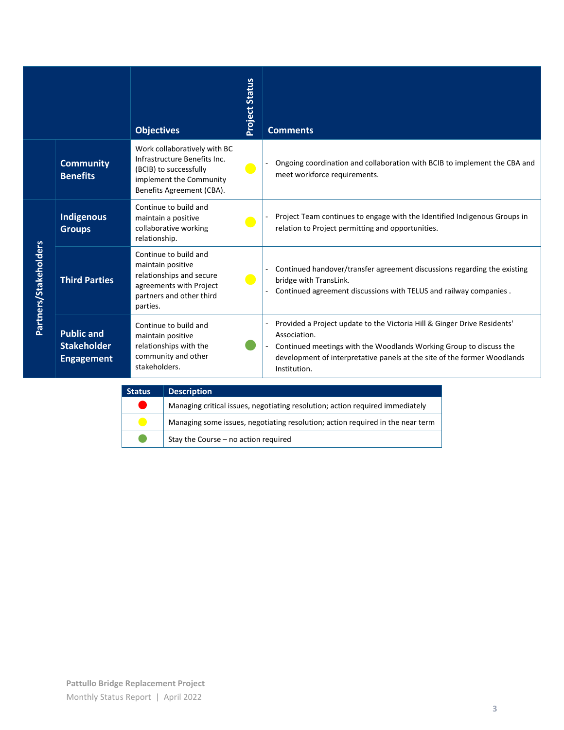|                       |                                                              | <b>Objectives</b>                                                                                                                              | <b>Project Status</b> | <b>Comments</b>                                                                                                                                                                                                                                            |
|-----------------------|--------------------------------------------------------------|------------------------------------------------------------------------------------------------------------------------------------------------|-----------------------|------------------------------------------------------------------------------------------------------------------------------------------------------------------------------------------------------------------------------------------------------------|
|                       | <b>Community</b><br><b>Benefits</b>                          | Work collaboratively with BC<br>Infrastructure Benefits Inc.<br>(BCIB) to successfully<br>implement the Community<br>Benefits Agreement (CBA). | $\bullet$             | Ongoing coordination and collaboration with BCIB to implement the CBA and<br>meet workforce requirements.                                                                                                                                                  |
|                       | Indigenous<br><b>Groups</b>                                  | Continue to build and<br>maintain a positive<br>collaborative working<br>relationship.                                                         | $\bullet$             | Project Team continues to engage with the Identified Indigenous Groups in<br>relation to Project permitting and opportunities.                                                                                                                             |
| Partners/Stakeholders | <b>Third Parties</b>                                         | Continue to build and<br>maintain positive<br>relationships and secure<br>agreements with Project<br>partners and other third<br>parties.      | $\bullet$             | Continued handover/transfer agreement discussions regarding the existing<br>bridge with TransLink.<br>Continued agreement discussions with TELUS and railway companies.                                                                                    |
|                       | <b>Public and</b><br><b>Stakeholder</b><br><b>Engagement</b> | Continue to build and<br>maintain positive<br>relationships with the<br>community and other<br>stakeholders.                                   |                       | Provided a Project update to the Victoria Hill & Ginger Drive Residents'<br>Association.<br>Continued meetings with the Woodlands Working Group to discuss the<br>development of interpretative panels at the site of the former Woodlands<br>Institution. |

| <b>Status</b> | <b>Description</b>                                                             |
|---------------|--------------------------------------------------------------------------------|
|               | Managing critical issues, negotiating resolution; action required immediately  |
|               | Managing some issues, negotiating resolution; action required in the near term |
|               | Stay the Course - no action required                                           |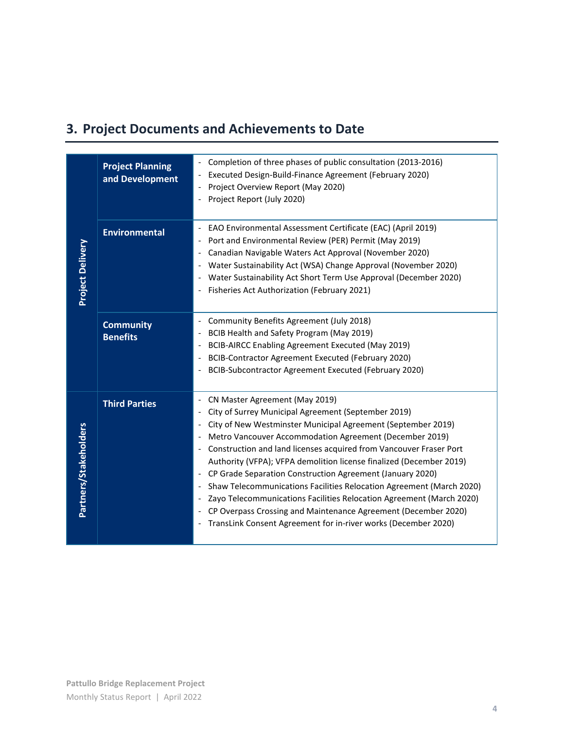# **3. Project Documents and Achievements to Date**

| <b>Project Planning</b><br>and Development | Completion of three phases of public consultation (2013-2016)<br>Executed Design-Build-Finance Agreement (February 2020)<br>Project Overview Report (May 2020)<br>Project Report (July 2020)                                                                                                                                                                                                                                                                                                                                                                                                                                                                                                                                                                                                       |
|--------------------------------------------|----------------------------------------------------------------------------------------------------------------------------------------------------------------------------------------------------------------------------------------------------------------------------------------------------------------------------------------------------------------------------------------------------------------------------------------------------------------------------------------------------------------------------------------------------------------------------------------------------------------------------------------------------------------------------------------------------------------------------------------------------------------------------------------------------|
| <b>Environmental</b>                       | EAO Environmental Assessment Certificate (EAC) (April 2019)<br>Port and Environmental Review (PER) Permit (May 2019)<br>Canadian Navigable Waters Act Approval (November 2020)<br>Water Sustainability Act (WSA) Change Approval (November 2020)<br>Water Sustainability Act Short Term Use Approval (December 2020)<br>Fisheries Act Authorization (February 2021)                                                                                                                                                                                                                                                                                                                                                                                                                                |
| <b>Community</b><br><b>Benefits</b>        | Community Benefits Agreement (July 2018)<br>BCIB Health and Safety Program (May 2019)<br>$\overline{\phantom{a}}$<br>BCIB-AIRCC Enabling Agreement Executed (May 2019)<br>$\overline{\phantom{a}}$<br>BCIB-Contractor Agreement Executed (February 2020)<br>$\overline{\phantom{a}}$<br>BCIB-Subcontractor Agreement Executed (February 2020)                                                                                                                                                                                                                                                                                                                                                                                                                                                      |
| <b>Third Parties</b>                       | CN Master Agreement (May 2019)<br>$\overline{\phantom{a}}$<br>City of Surrey Municipal Agreement (September 2019)<br>City of New Westminster Municipal Agreement (September 2019)<br>$\overline{\phantom{a}}$<br>Metro Vancouver Accommodation Agreement (December 2019)<br>Construction and land licenses acquired from Vancouver Fraser Port<br>$\overline{\phantom{a}}$<br>Authority (VFPA); VFPA demolition license finalized (December 2019)<br>CP Grade Separation Construction Agreement (January 2020)<br>Shaw Telecommunications Facilities Relocation Agreement (March 2020)<br>Zayo Telecommunications Facilities Relocation Agreement (March 2020)<br>CP Overpass Crossing and Maintenance Agreement (December 2020)<br>TransLink Consent Agreement for in-river works (December 2020) |
|                                            |                                                                                                                                                                                                                                                                                                                                                                                                                                                                                                                                                                                                                                                                                                                                                                                                    |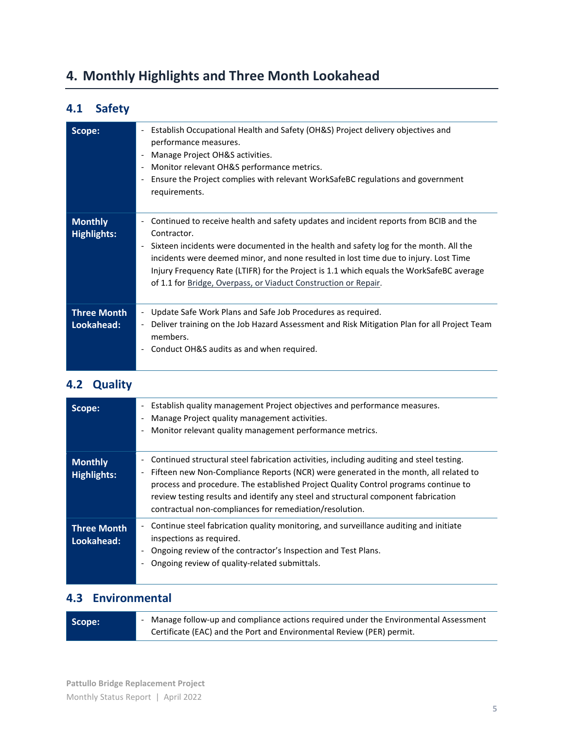# **4. Monthly Highlights and Three Month Lookahead**

## **4.1 Safety**

| Scope:                               | Establish Occupational Health and Safety (OH&S) Project delivery objectives and<br>$\overline{\phantom{a}}$<br>performance measures.<br>Manage Project OH&S activities.<br>Monitor relevant OH&S performance metrics.<br>$\overline{\phantom{a}}$<br>Ensure the Project complies with relevant WorkSafeBC regulations and government<br>$\overline{\phantom{a}}$<br>requirements.                                                                                                                            |
|--------------------------------------|--------------------------------------------------------------------------------------------------------------------------------------------------------------------------------------------------------------------------------------------------------------------------------------------------------------------------------------------------------------------------------------------------------------------------------------------------------------------------------------------------------------|
| <b>Monthly</b><br><b>Highlights:</b> | Continued to receive health and safety updates and incident reports from BCIB and the<br>$\overline{\phantom{0}}$<br>Contractor.<br>Sixteen incidents were documented in the health and safety log for the month. All the<br>$\overline{\phantom{a}}$<br>incidents were deemed minor, and none resulted in lost time due to injury. Lost Time<br>Injury Frequency Rate (LTIFR) for the Project is 1.1 which equals the WorkSafeBC average<br>of 1.1 for Bridge, Overpass, or Viaduct Construction or Repair. |
| <b>Three Month</b><br>Lookahead:     | Update Safe Work Plans and Safe Job Procedures as required.<br>$\blacksquare$<br>Deliver training on the Job Hazard Assessment and Risk Mitigation Plan for all Project Team<br>$\overline{\phantom{a}}$<br>members.<br>Conduct OH&S audits as and when required.                                                                                                                                                                                                                                            |

#### **4.2 Quality**

| Scope:                               | Establish quality management Project objectives and performance measures.<br>$\overline{\phantom{a}}$<br>Manage Project quality management activities.<br>Monitor relevant quality management performance metrics.                                                                                                                                                                                                                                        |
|--------------------------------------|-----------------------------------------------------------------------------------------------------------------------------------------------------------------------------------------------------------------------------------------------------------------------------------------------------------------------------------------------------------------------------------------------------------------------------------------------------------|
| <b>Monthly</b><br><b>Highlights:</b> | Continued structural steel fabrication activities, including auditing and steel testing.<br>-<br>Fifteen new Non-Compliance Reports (NCR) were generated in the month, all related to<br>$\overline{\phantom{a}}$<br>process and procedure. The established Project Quality Control programs continue to<br>review testing results and identify any steel and structural component fabrication<br>contractual non-compliances for remediation/resolution. |
| <b>Three Month</b><br>Lookahead:     | Continue steel fabrication quality monitoring, and surveillance auditing and initiate<br>inspections as required.<br>Ongoing review of the contractor's Inspection and Test Plans.<br>Ongoing review of quality-related submittals.                                                                                                                                                                                                                       |

#### **4.3 Environmental**

| Scope: | Manage follow-up and compliance actions required under the Environmental Assessment |
|--------|-------------------------------------------------------------------------------------|
|        | Certificate (EAC) and the Port and Environmental Review (PER) permit.               |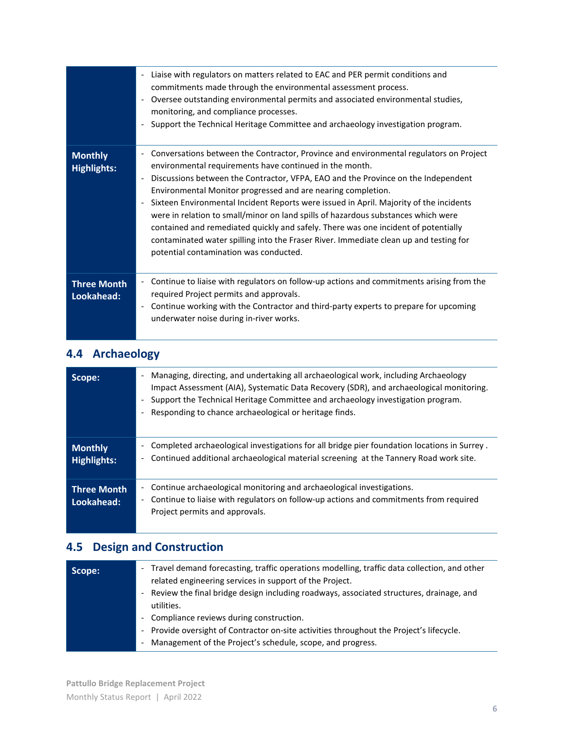|                                      | Liaise with regulators on matters related to EAC and PER permit conditions and<br>commitments made through the environmental assessment process.<br>Oversee outstanding environmental permits and associated environmental studies,<br>$\overline{\phantom{a}}$<br>monitoring, and compliance processes.<br>Support the Technical Heritage Committee and archaeology investigation program.                                                                                                                                                                                                                                                                                                                                                |
|--------------------------------------|--------------------------------------------------------------------------------------------------------------------------------------------------------------------------------------------------------------------------------------------------------------------------------------------------------------------------------------------------------------------------------------------------------------------------------------------------------------------------------------------------------------------------------------------------------------------------------------------------------------------------------------------------------------------------------------------------------------------------------------------|
| <b>Monthly</b><br><b>Highlights:</b> | Conversations between the Contractor, Province and environmental regulators on Project<br>environmental requirements have continued in the month.<br>Discussions between the Contractor, VFPA, EAO and the Province on the Independent<br>Environmental Monitor progressed and are nearing completion.<br>Sixteen Environmental Incident Reports were issued in April. Majority of the incidents<br>$\overline{\phantom{a}}$<br>were in relation to small/minor on land spills of hazardous substances which were<br>contained and remediated quickly and safely. There was one incident of potentially<br>contaminated water spilling into the Fraser River. Immediate clean up and testing for<br>potential contamination was conducted. |
| <b>Three Month</b><br>Lookahead:     | Continue to liaise with regulators on follow-up actions and commitments arising from the<br>$\overline{\phantom{0}}$<br>required Project permits and approvals.<br>Continue working with the Contractor and third-party experts to prepare for upcoming<br>underwater noise during in-river works.                                                                                                                                                                                                                                                                                                                                                                                                                                         |

## **4.4 Archaeology**

| Scope:                           | Managing, directing, and undertaking all archaeological work, including Archaeology<br>$\overline{\phantom{a}}$<br>Impact Assessment (AIA), Systematic Data Recovery (SDR), and archaeological monitoring.<br>Support the Technical Heritage Committee and archaeology investigation program.<br>Responding to chance archaeological or heritage finds. |
|----------------------------------|---------------------------------------------------------------------------------------------------------------------------------------------------------------------------------------------------------------------------------------------------------------------------------------------------------------------------------------------------------|
| <b>Monthly</b><br>Highlights:    | Completed archaeological investigations for all bridge pier foundation locations in Surrey.<br>$\overline{\phantom{a}}$<br>Continued additional archaeological material screening at the Tannery Road work site.<br>$\overline{\phantom{a}}$                                                                                                            |
| <b>Three Month</b><br>Lookahead: | Continue archaeological monitoring and archaeological investigations.<br>Continue to liaise with regulators on follow-up actions and commitments from required<br>$\overline{\phantom{a}}$<br>Project permits and approvals.                                                                                                                            |

## **4.5 Design and Construction**

| Scope: | - Travel demand forecasting, traffic operations modelling, traffic data collection, and other<br>related engineering services in support of the Project. |
|--------|----------------------------------------------------------------------------------------------------------------------------------------------------------|
|        | - Review the final bridge design including roadways, associated structures, drainage, and<br>utilities.                                                  |
|        | - Compliance reviews during construction.                                                                                                                |
|        | - Provide oversight of Contractor on-site activities throughout the Project's lifecycle.                                                                 |
|        | Management of the Project's schedule, scope, and progress.<br>$\overline{\phantom{a}}$                                                                   |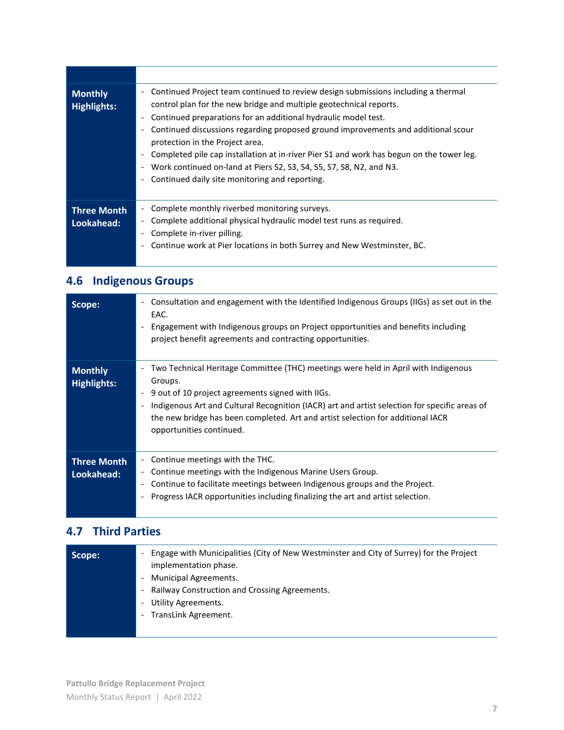| <b>Monthly</b><br><b>Highlights:</b> | Continued Project team continued to review design submissions including a thermal<br>control plan for the new bridge and multiple geotechnical reports.<br>Continued preparations for an additional hydraulic model test.<br>Continued discussions regarding proposed ground improvements and additional scour<br>protection in the Project area.<br>Completed pile cap installation at in-river Pier S1 and work has begun on the tower leg.<br>Work continued on-land at Piers S2, S3, S4, S5, S7, S8, N2, and N3.<br>Continued daily site monitoring and reporting. |
|--------------------------------------|------------------------------------------------------------------------------------------------------------------------------------------------------------------------------------------------------------------------------------------------------------------------------------------------------------------------------------------------------------------------------------------------------------------------------------------------------------------------------------------------------------------------------------------------------------------------|
| <b>Three Month</b><br>Lookahead:     | Complete monthly riverbed monitoring surveys.<br>Complete additional physical hydraulic model test runs as required.<br>Complete in-river pilling.<br>Continue work at Pier locations in both Surrey and New Westminster, BC.                                                                                                                                                                                                                                                                                                                                          |

# **4.6 Indigenous Groups**

| Scope:                               | Consultation and engagement with the Identified Indigenous Groups (IIGs) as set out in the<br>$\overline{\phantom{a}}$<br>EAC.<br>Engagement with Indigenous groups on Project opportunities and benefits including<br>project benefit agreements and contracting opportunities.                                                                                                              |
|--------------------------------------|-----------------------------------------------------------------------------------------------------------------------------------------------------------------------------------------------------------------------------------------------------------------------------------------------------------------------------------------------------------------------------------------------|
| <b>Monthly</b><br><b>Highlights:</b> | Two Technical Heritage Committee (THC) meetings were held in April with Indigenous<br>Groups.<br>9 out of 10 project agreements signed with IIGs.<br>$\overline{\phantom{a}}$<br>Indigenous Art and Cultural Recognition (IACR) art and artist selection for specific areas of<br>the new bridge has been completed. Art and artist selection for additional IACR<br>opportunities continued. |
| <b>Three Month</b><br>Lookahead:     | Continue meetings with the THC.<br>Continue meetings with the Indigenous Marine Users Group.<br>Continue to facilitate meetings between Indigenous groups and the Project.<br>Progress IACR opportunities including finalizing the art and artist selection.                                                                                                                                  |

### **4.7 Third Parties**

| Scope: | Engage with Municipalities (City of New Westminster and City of Surrey) for the Project<br>$\frac{1}{2}$<br>implementation phase.<br><b>Municipal Agreements.</b><br>$\overline{\phantom{0}}$<br>- Railway Construction and Crossing Agreements.<br>Utility Agreements.<br>$\overline{\phantom{0}}$<br>- TransLink Agreement. |
|--------|-------------------------------------------------------------------------------------------------------------------------------------------------------------------------------------------------------------------------------------------------------------------------------------------------------------------------------|
|--------|-------------------------------------------------------------------------------------------------------------------------------------------------------------------------------------------------------------------------------------------------------------------------------------------------------------------------------|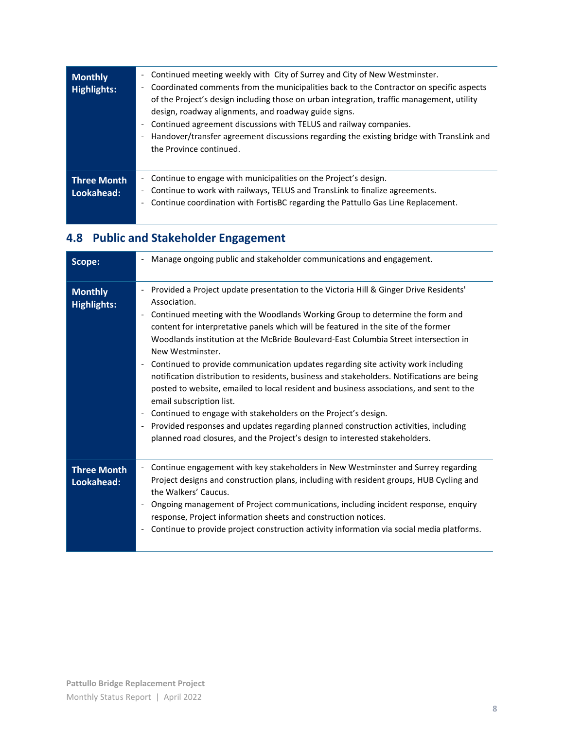| <b>Monthly</b><br><b>Highlights:</b> | Continued meeting weekly with City of Surrey and City of New Westminster.<br>$\overline{\phantom{a}}$<br>Coordinated comments from the municipalities back to the Contractor on specific aspects<br>$\overline{\phantom{a}}$<br>of the Project's design including those on urban integration, traffic management, utility<br>design, roadway alignments, and roadway guide signs.<br>Continued agreement discussions with TELUS and railway companies.<br>$\overline{\phantom{0}}$<br>Handover/transfer agreement discussions regarding the existing bridge with TransLink and<br>$\overline{\phantom{a}}$<br>the Province continued. |
|--------------------------------------|---------------------------------------------------------------------------------------------------------------------------------------------------------------------------------------------------------------------------------------------------------------------------------------------------------------------------------------------------------------------------------------------------------------------------------------------------------------------------------------------------------------------------------------------------------------------------------------------------------------------------------------|
| <b>Three Month</b><br>Lookahead:     | Continue to engage with municipalities on the Project's design.<br>$\frac{1}{2}$<br>Continue to work with railways, TELUS and TransLink to finalize agreements.<br>$\sim$<br>Continue coordination with FortisBC regarding the Pattullo Gas Line Replacement.<br>$\overline{\phantom{a}}$                                                                                                                                                                                                                                                                                                                                             |

# **4.8 Public and Stakeholder Engagement**

| Scope:                               | Manage ongoing public and stakeholder communications and engagement.                                                                                                                                                                                                                                                                                                                                                                                                                                                                                                                                                                                                                                                                                                                                                                                                                                                                                                                                                         |
|--------------------------------------|------------------------------------------------------------------------------------------------------------------------------------------------------------------------------------------------------------------------------------------------------------------------------------------------------------------------------------------------------------------------------------------------------------------------------------------------------------------------------------------------------------------------------------------------------------------------------------------------------------------------------------------------------------------------------------------------------------------------------------------------------------------------------------------------------------------------------------------------------------------------------------------------------------------------------------------------------------------------------------------------------------------------------|
| <b>Monthly</b><br><b>Highlights:</b> | Provided a Project update presentation to the Victoria Hill & Ginger Drive Residents'<br>Association.<br>Continued meeting with the Woodlands Working Group to determine the form and<br>$\overline{\phantom{a}}$<br>content for interpretative panels which will be featured in the site of the former<br>Woodlands institution at the McBride Boulevard-East Columbia Street intersection in<br>New Westminster.<br>Continued to provide communication updates regarding site activity work including<br>notification distribution to residents, business and stakeholders. Notifications are being<br>posted to website, emailed to local resident and business associations, and sent to the<br>email subscription list.<br>Continued to engage with stakeholders on the Project's design.<br>$\overline{\phantom{a}}$<br>Provided responses and updates regarding planned construction activities, including<br>$\overline{\phantom{a}}$<br>planned road closures, and the Project's design to interested stakeholders. |
| <b>Three Month</b><br>Lookahead:     | Continue engagement with key stakeholders in New Westminster and Surrey regarding<br>$\overline{\phantom{a}}$<br>Project designs and construction plans, including with resident groups, HUB Cycling and<br>the Walkers' Caucus.<br>Ongoing management of Project communications, including incident response, enquiry<br>response, Project information sheets and construction notices.<br>Continue to provide project construction activity information via social media platforms.                                                                                                                                                                                                                                                                                                                                                                                                                                                                                                                                        |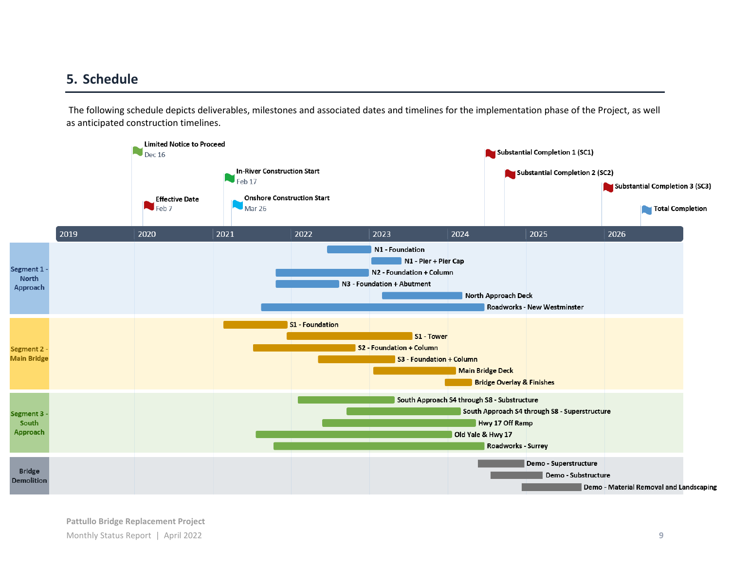#### **5. Schedule**

The following schedule depicts deliverables, milestones and associated dates and timelines for the implementation phase of the Project, as well as anticipated construction timelines.

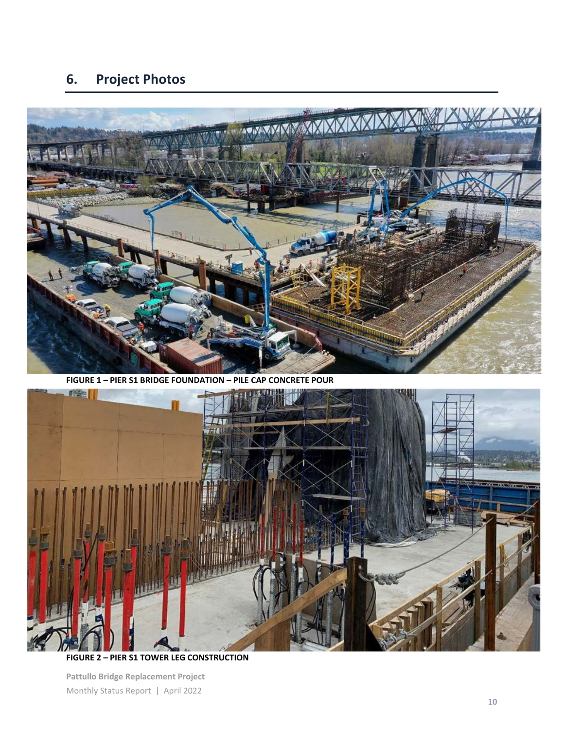# **6. Project Photos**



**FIGURE 1 – PIER S1 BRIDGE FOUNDATION – PILE CAP CONCRETE POUR**



**FIGURE 2 – PIER S1 TOWER LEG CONSTRUCTION**

**Pattullo Bridge Replacement Project** Monthly Status Report | April 2022